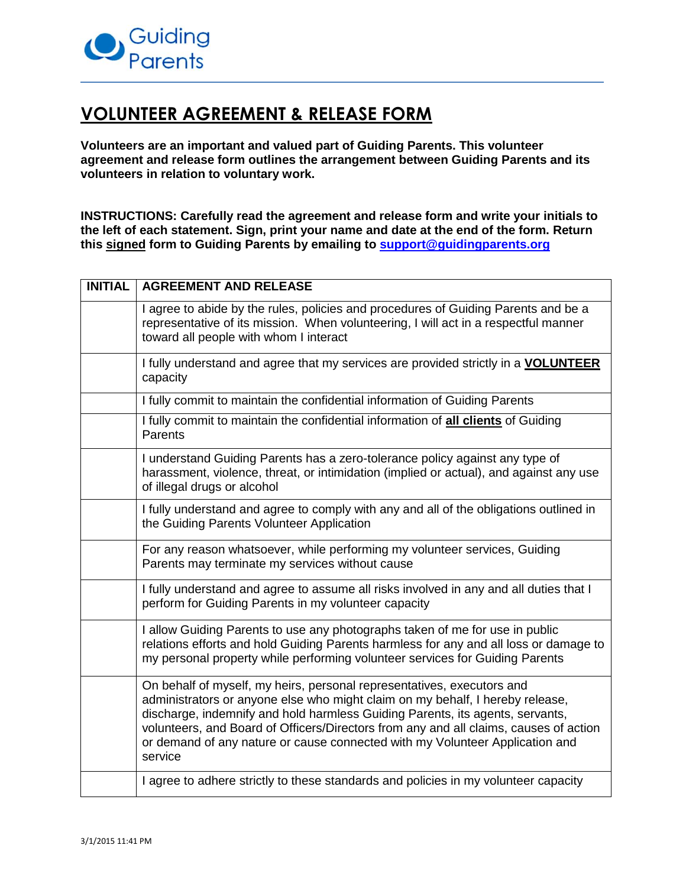

## **VOLUNTEER AGREEMENT & RELEASE FORM**

**Volunteers are an important and valued part of Guiding Parents. This volunteer agreement and release form outlines the arrangement between Guiding Parents and its volunteers in relation to voluntary work.**

**INSTRUCTIONS: Carefully read the agreement and release form and write your initials to the left of each statement. Sign, print your name and date at the end of the form. Return this signed form to Guiding Parents by emailing to [support@guidingparents.org](mailto:support@guidingparents.org)**

| <b>INITIAL</b> | <b>AGREEMENT AND RELEASE</b>                                                                                                                                                                                                                                                                                                                                                                                                 |
|----------------|------------------------------------------------------------------------------------------------------------------------------------------------------------------------------------------------------------------------------------------------------------------------------------------------------------------------------------------------------------------------------------------------------------------------------|
|                | I agree to abide by the rules, policies and procedures of Guiding Parents and be a<br>representative of its mission. When volunteering, I will act in a respectful manner<br>toward all people with whom I interact                                                                                                                                                                                                          |
|                | I fully understand and agree that my services are provided strictly in a VOLUNTEER<br>capacity                                                                                                                                                                                                                                                                                                                               |
|                | I fully commit to maintain the confidential information of Guiding Parents                                                                                                                                                                                                                                                                                                                                                   |
|                | I fully commit to maintain the confidential information of all clients of Guiding<br>Parents                                                                                                                                                                                                                                                                                                                                 |
|                | I understand Guiding Parents has a zero-tolerance policy against any type of<br>harassment, violence, threat, or intimidation (implied or actual), and against any use<br>of illegal drugs or alcohol                                                                                                                                                                                                                        |
|                | I fully understand and agree to comply with any and all of the obligations outlined in<br>the Guiding Parents Volunteer Application                                                                                                                                                                                                                                                                                          |
|                | For any reason whatsoever, while performing my volunteer services, Guiding<br>Parents may terminate my services without cause                                                                                                                                                                                                                                                                                                |
|                | I fully understand and agree to assume all risks involved in any and all duties that I<br>perform for Guiding Parents in my volunteer capacity                                                                                                                                                                                                                                                                               |
|                | I allow Guiding Parents to use any photographs taken of me for use in public<br>relations efforts and hold Guiding Parents harmless for any and all loss or damage to<br>my personal property while performing volunteer services for Guiding Parents                                                                                                                                                                        |
|                | On behalf of myself, my heirs, personal representatives, executors and<br>administrators or anyone else who might claim on my behalf, I hereby release,<br>discharge, indemnify and hold harmless Guiding Parents, its agents, servants,<br>volunteers, and Board of Officers/Directors from any and all claims, causes of action<br>or demand of any nature or cause connected with my Volunteer Application and<br>service |
|                | I agree to adhere strictly to these standards and policies in my volunteer capacity                                                                                                                                                                                                                                                                                                                                          |